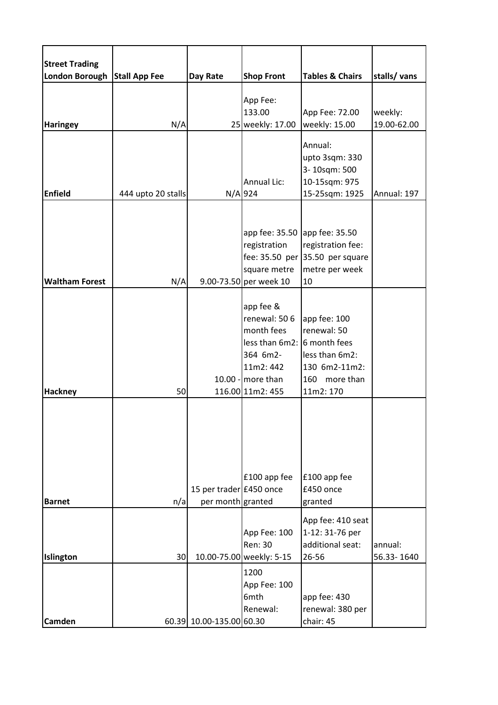| <b>Street Trading</b><br><b>London Borough</b> | <b>Stall App Fee</b> | Day Rate                                     | <b>Shop Front</b>                                                                                                                          | <b>Tables &amp; Chairs</b>                                                                   | stalls/ vans           |
|------------------------------------------------|----------------------|----------------------------------------------|--------------------------------------------------------------------------------------------------------------------------------------------|----------------------------------------------------------------------------------------------|------------------------|
|                                                |                      |                                              |                                                                                                                                            |                                                                                              |                        |
| <b>Haringey</b>                                | N/A                  |                                              | App Fee:<br>133.00<br>25 weekly: 17.00                                                                                                     | App Fee: 72.00<br>weekly: 15.00                                                              | weekly:<br>19.00-62.00 |
| <b>Enfield</b>                                 | 444 upto 20 stalls   |                                              | Annual Lic:<br>$N/A$ 924                                                                                                                   | Annual:<br>upto 3sqm: 330<br>3-10sqm: 500<br>10-15sqm: 975<br>15-25sqm: 1925                 | Annual: 197            |
| <b>Waltham Forest</b>                          | N/A                  |                                              | app fee: 35.50 app fee: 35.50<br>registration<br>square metre<br>9.00-73.50 per week 10                                                    | registration fee:<br>fee: $35.50$ per 35.50 per square<br>metre per week<br>10               |                        |
| <b>Hackney</b>                                 | 50                   |                                              | app fee &<br>renewal: 506<br>month fees<br>less than $6m2: 6$ month fees<br>364 6m2-<br>11m2: 442<br>10.00 - more than<br>116.00 11m2: 455 | app fee: 100<br>renewal: 50<br>less than 6m2:<br>130 6m2-11m2:<br>160 more than<br>11m2: 170 |                        |
| <b>Barnet</b>                                  | n/a                  | 15 per trader £450 once<br>per month granted | £100 app fee                                                                                                                               | £100 app fee<br>£450 once<br>granted                                                         |                        |
| Islington                                      | 30                   |                                              | App Fee: 100<br>Ren: 30<br>10.00-75.00 weekly: 5-15                                                                                        | App fee: 410 seat<br>1-12: 31-76 per<br>additional seat:<br>26-56                            | annual:<br>56.33-1640  |
| <b>Camden</b>                                  |                      | 60.39 10.00-135.00 60.30                     | 1200<br>App Fee: 100<br>6mth<br>Renewal:                                                                                                   | app fee: 430<br>renewal: 380 per<br>chair: 45                                                |                        |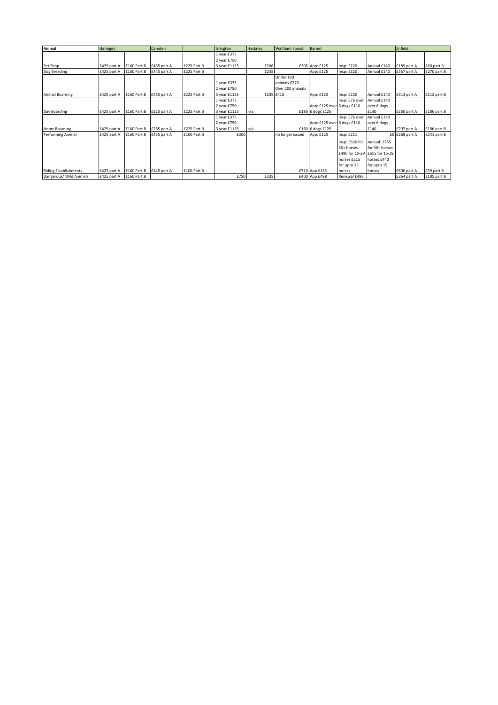| Animal                       | Haringey    |             | Camden      |             | Islington    | Hackney | <b>Waltham Forest</b> | Barnet                     |                |                               | Enfield        |             |
|------------------------------|-------------|-------------|-------------|-------------|--------------|---------|-----------------------|----------------------------|----------------|-------------------------------|----------------|-------------|
|                              |             |             |             |             | 1 year £375  |         |                       |                            |                |                               |                |             |
|                              |             |             |             |             | 2 year £750  |         |                       |                            |                |                               |                |             |
| Pet Shop                     | £425 part A | £160 Part B | £435 part A | £225 Part B | 3 year £1125 | £206    |                       | £305 App: £125             | Insp: £220     | Annual £140                   | £189 part A    | 260 part B  |
| Dog Breeding                 | £425 part A | £160 Part B | £440 part A | £225 Part B |              | £235    |                       | App: £125                  | Insp: £220     | Annual £140                   | £367 part A    | £270 part B |
|                              |             |             |             |             |              |         | Under 100             |                            |                |                               |                |             |
|                              |             |             |             |             | 1 year £375  |         | animals £270          |                            |                |                               |                |             |
|                              |             |             |             |             | 2 year £750  |         | Over 100 animals      |                            |                |                               |                |             |
| Animal Boarding              | £425 part A | £160 Part B | £435 part A | £225 Part B | 3 year £1125 |         | £235 £410             | App: £125                  | Insp: £220     | Annual £140                   | £313 part A    | £212 part B |
|                              |             |             |             |             | 1 year £375  |         |                       |                            | Insp: £76 over | Annual £140                   |                |             |
|                              |             |             |             |             | 2 year £750  |         |                       | App: £125 over 6 dogs £110 |                | over 6 dogs                   |                |             |
| Day Boarding                 | £425 part A | £160 Part B | £225 part A | £225 Part B | 3 year £1125 | n/a     |                       | £180 6 dogs £125           |                | £140                          | £260 part A    | £186 part B |
|                              |             |             |             |             | 1 year £375  |         |                       |                            | Insp: £76 over | Annual £140                   |                |             |
|                              |             |             |             |             | 2 year £750  |         |                       | App: £125 over 6 dogs £110 |                | over 6 dogs                   |                |             |
| Home Boarding                | £425 part A | £160 Part B | £265 part A | £225 Part B | 3 year £1125 | n/a     |                       | £160 6 dogs £125           |                | £140                          | £207 part A    | £186 part B |
| Performing Animal            | £425 part A | £160 Part B | £435 part A | £100 Part B | £300         |         | no longer issued      | App: £125                  | Insp: £211     |                               | £0 £268 part A | £241 part B |
|                              |             |             |             |             |              |         |                       |                            | Insp: £630 for | Annual: £755                  |                |             |
|                              |             |             |             |             |              |         |                       |                            | 30+ horses     | for 30+ horses                |                |             |
|                              |             |             |             |             |              |         |                       |                            |                | £490 for 15-29 £615 for 15-29 |                |             |
|                              |             |             |             |             |              |         |                       |                            | horses £315    | horses £440                   |                |             |
|                              |             |             |             |             |              |         |                       |                            | for upto 15    | for upto 15                   |                |             |
| <b>Riding Establishments</b> | £425 part A | £160 Part B | £445 part A | £100 Part B |              |         |                       | £710 App £125              | horses         | horses                        | £600 part A    | £39 part B  |
| Dangerous/ Wild Animals      | £425 part A | £160 Part B |             |             | £750         | £235    |                       | £400 App £498              | Renewal £486   |                               | £364 part A    | £185 part B |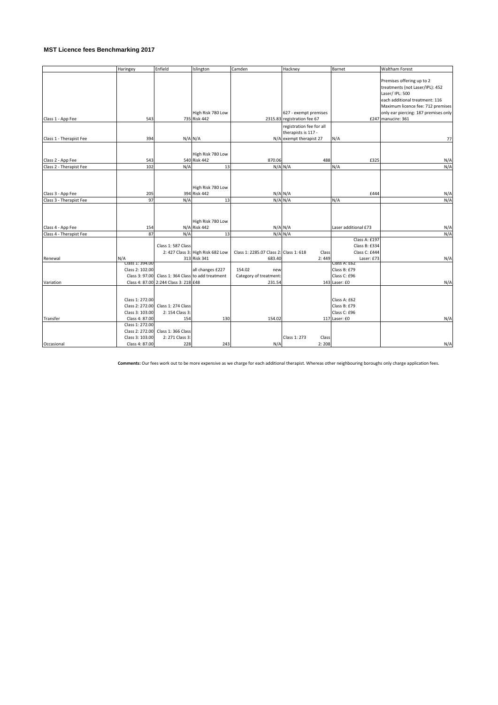## **MST Licence fees Benchmarking 2017**

|                         | Haringey                           | Enfield                               | Islington                         | Camden                                 | Hackney                     | Barnet                       | <b>Waltham Forest</b>                |
|-------------------------|------------------------------------|---------------------------------------|-----------------------------------|----------------------------------------|-----------------------------|------------------------------|--------------------------------------|
|                         |                                    |                                       |                                   |                                        |                             |                              |                                      |
|                         |                                    |                                       |                                   |                                        |                             |                              | Premises offering up to 2            |
|                         |                                    |                                       |                                   |                                        |                             |                              | treatments (not Laser/IPL): 452      |
|                         |                                    |                                       |                                   |                                        |                             |                              | Laser/ IPL: 500                      |
|                         |                                    |                                       |                                   |                                        |                             |                              | each additional treatment: 116       |
|                         |                                    |                                       |                                   |                                        |                             |                              | Maximum licence fee: 712 premises    |
|                         |                                    |                                       | High Risk 780 Low                 |                                        | 627 - exempt premises       |                              | only ear piercing: 187 premises only |
| Class 1 - App Fee       | 543                                |                                       | 735 Risk 442                      |                                        | 2315.83 registration fee 67 |                              | £247 manucire: 361                   |
|                         |                                    |                                       |                                   |                                        | registration fee for all    |                              |                                      |
|                         |                                    |                                       |                                   |                                        | therapists is 117 -         |                              |                                      |
| Class 1 - Therapist Fee | 394                                | N/A N/A                               |                                   |                                        | N/A exempt therapist 27     | N/A                          | 77                                   |
|                         |                                    |                                       |                                   |                                        |                             |                              |                                      |
|                         |                                    |                                       | High Risk 780 Low                 |                                        |                             |                              |                                      |
| Class 2 - App Fee       | 543                                |                                       | 540 Risk 442                      | 870.06                                 | 488                         | £325                         | N/A                                  |
| Class 2 - Therapist Fee | 102                                | N/A                                   | 13                                |                                        | $N/A$ $N/A$                 | N/A                          | N/A                                  |
|                         |                                    |                                       |                                   |                                        |                             |                              |                                      |
|                         |                                    |                                       |                                   |                                        |                             |                              |                                      |
|                         |                                    |                                       |                                   |                                        |                             |                              |                                      |
|                         |                                    |                                       | High Risk 780 Low                 |                                        |                             |                              |                                      |
| Class 3 - App Fee       | 205                                |                                       | 394 Risk 442                      |                                        | $N/A$ $N/A$                 | £444                         | N/A                                  |
| Class 3 - Therapist Fee | 97                                 | N/A                                   | 13                                |                                        | $N/A$ $N/A$                 | N/A                          | N/A                                  |
|                         |                                    |                                       |                                   |                                        |                             |                              |                                      |
|                         |                                    |                                       |                                   |                                        |                             |                              |                                      |
|                         |                                    |                                       | High Risk 780 Low                 |                                        |                             |                              |                                      |
| Class 4 - App Fee       | 154                                |                                       | N/A Risk 442                      |                                        | $N/A$ $N/A$                 | Laser additional £73         | N/A                                  |
| Class 4 - Therapist Fee | 87                                 | N/A                                   | 13                                |                                        | $N/A$ $N/A$                 |                              | N/A                                  |
|                         |                                    |                                       |                                   |                                        |                             | Class A: £197                |                                      |
|                         |                                    | Class 1: 587 Class                    |                                   |                                        |                             | Class B: £334                |                                      |
|                         |                                    |                                       | 2: 427 Class 3: High Risk 682 Low | Class 1: 2285.07 Class 2: Class 1: 618 | Class                       | Class C: £444                |                                      |
| Renewal                 | N/A                                |                                       | 313 Risk 341                      | 683.40                                 | 2:449                       | Laser: £73                   | N/A                                  |
|                         | Class 1: 394.00                    |                                       |                                   |                                        |                             | Class A: £62                 |                                      |
|                         | Class 2: 102.00                    |                                       | all changes £227                  | 154.02<br>new                          |                             | Class B: £79                 |                                      |
|                         | Class 3: 97.00                     | Class 1: 364 Class to add treatment   |                                   | Category of treatment:                 |                             | Class C: £96                 |                                      |
| Variation               |                                    | Class 4: 87.00 2:244 Class 3: 218 £48 |                                   | 231.54                                 |                             | 143 Laser: £0                | N/A                                  |
|                         |                                    |                                       |                                   |                                        |                             |                              |                                      |
|                         | Class 1: 272.00                    |                                       |                                   |                                        |                             | Class A: £62                 |                                      |
|                         |                                    |                                       |                                   |                                        |                             |                              |                                      |
|                         | Class 2: 272.00<br>Class 3: 103.00 | Class 1: 274 Class                    |                                   |                                        |                             | Class B: £79<br>Class C: £96 |                                      |
|                         |                                    | 2: 154 Class 3:                       |                                   |                                        |                             |                              |                                      |
| Transfer                | Class 4: 87.00                     | 154                                   | 130                               | 154.02                                 |                             | 117 Laser: £0                | N/A                                  |
|                         | Class 1: 272.00                    |                                       |                                   |                                        |                             |                              |                                      |
|                         | Class 2: 272.00                    | Class 1: 366 Class                    |                                   |                                        |                             |                              |                                      |
|                         | Class 3: 103.00                    | 2: 271 Class 3:                       |                                   |                                        | Class 1: 273<br>Class       |                              |                                      |
| Occasional              | Class 4: 87.00                     | 228                                   | 243                               | N/A                                    | 2:208                       |                              | N/A                                  |

**Comments:** Our fees work out to be more expensive as we charge for each additional therapist. Whereas other neighbouring boroughs only charge application fees.